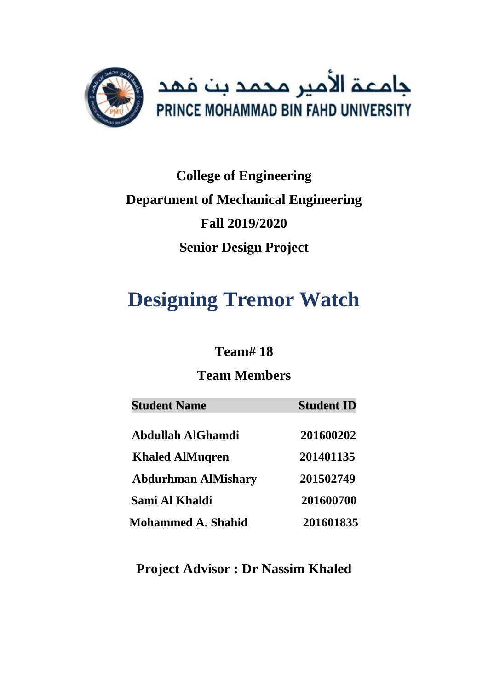

# **College of Engineering Department of Mechanical Engineering Fall 2019/2020 Senior Design Project**

# **Designing Tremor Watch**

# **Team# 18**

# **Team Members**

| <b>Student Name</b>        | <b>Student ID</b> |
|----------------------------|-------------------|
| <b>Abdullah AlGhamdi</b>   | 201600202         |
| <b>Khaled AlMuqren</b>     | 201401135         |
| <b>Abdurhman AlMishary</b> | 201502749         |
| Sami Al Khaldi             | 201600700         |
| <b>Mohammed A. Shahid</b>  | 201601835         |

**Project Advisor : Dr Nassim Khaled**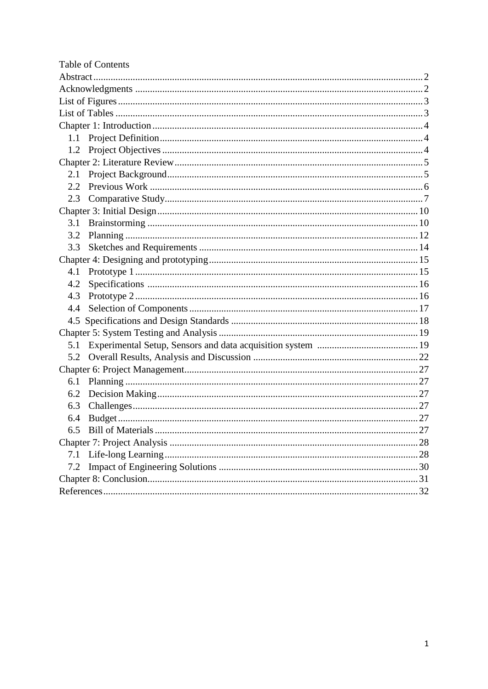| Table of Contents |
|-------------------|
|                   |
|                   |
|                   |
|                   |
|                   |
| 1.1               |
| 1.2               |
|                   |
| 2.1               |
| 2.2               |
| 2.3               |
|                   |
| 3.1               |
| 3.2               |
| 3.3               |
|                   |
| 4.1               |
| 4.2               |
| 4.3               |
| 4.4               |
|                   |
|                   |
| 5.1               |
| 5.2               |
|                   |
| 6.1               |
| 6.2               |
| 6.3               |
| 6.4               |
| 6.5               |
|                   |
| 7.1               |
| 7.2               |
|                   |
|                   |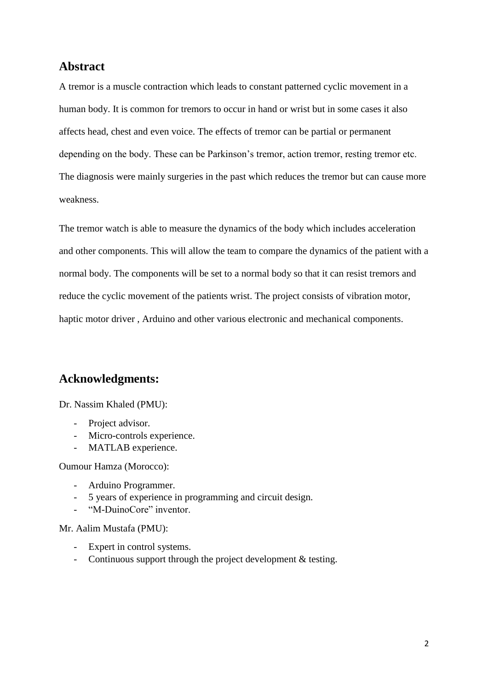### **Abstract**

A tremor is a muscle contraction which leads to constant patterned cyclic movement in a human body. It is common for tremors to occur in hand or wrist but in some cases it also affects head, chest and even voice. The effects of tremor can be partial or permanent depending on the body. These can be Parkinson's tremor, action tremor, resting tremor etc. The diagnosis were mainly surgeries in the past which reduces the tremor but can cause more weakness.

The tremor watch is able to measure the dynamics of the body which includes acceleration and other components. This will allow the team to compare the dynamics of the patient with a normal body. The components will be set to a normal body so that it can resist tremors and reduce the cyclic movement of the patients wrist. The project consists of vibration motor, haptic motor driver , Arduino and other various electronic and mechanical components.

### **Acknowledgments:**

Dr. Nassim Khaled (PMU):

- Project advisor.
- Micro-controls experience.
- MATLAB experience.

Oumour Hamza (Morocco):

- Arduino Programmer.
- 5 years of experience in programming and circuit design.
- "M-DuinoCore" inventor.

Mr. Aalim Mustafa (PMU):

- Expert in control systems.
- Continuous support through the project development & testing.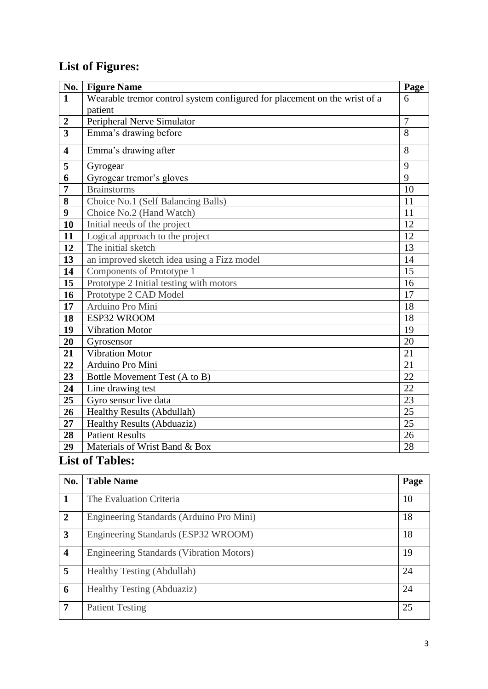# **List of Figures:**

| No.                     | <b>Figure Name</b>                                                        | Page           |
|-------------------------|---------------------------------------------------------------------------|----------------|
| $\mathbf{1}$            | Wearable tremor control system configured for placement on the wrist of a | 6              |
|                         | patient                                                                   |                |
| $\boldsymbol{2}$        | Peripheral Nerve Simulator                                                | $\overline{7}$ |
| $\overline{3}$          | Emma's drawing before                                                     | 8              |
| $\overline{\mathbf{4}}$ | Emma's drawing after                                                      | 8              |
| 5                       | Gyrogear                                                                  | 9              |
| 6                       | Gyrogear tremor's gloves                                                  | 9              |
| $\overline{7}$          | <b>Brainstorms</b>                                                        | 10             |
| 8                       | Choice No.1 (Self Balancing Balls)                                        | 11             |
| 9                       | Choice No.2 (Hand Watch)                                                  | 11             |
| 10                      | Initial needs of the project                                              | 12             |
| 11                      | Logical approach to the project                                           | 12             |
| 12                      | The initial sketch                                                        | 13             |
| 13                      | an improved sketch idea using a Fizz model                                | 14             |
| 14                      | Components of Prototype 1                                                 | 15             |
| 15                      | Prototype 2 Initial testing with motors                                   | 16             |
| 16                      | Prototype 2 CAD Model                                                     | 17             |
| 17                      | Arduino Pro Mini                                                          | 18             |
| 18                      | ESP32 WROOM                                                               | 18             |
| 19                      | <b>Vibration Motor</b>                                                    | 19             |
| 20                      | Gyrosensor                                                                | 20             |
| 21                      | <b>Vibration Motor</b>                                                    | 21             |
| 22                      | Arduino Pro Mini                                                          | 21             |
| 23                      | Bottle Movement Test (A to B)                                             | 22             |
| 24                      | Line drawing test                                                         | 22             |
| 25                      | Gyro sensor live data                                                     | 23             |
| 26                      | <b>Healthy Results (Abdullah)</b>                                         | 25             |
| 27                      | Healthy Results (Abduaziz)                                                | 25             |
| 28                      | <b>Patient Results</b>                                                    | 26             |
| 29                      | Materials of Wrist Band & Box                                             | 28             |

# **List of Tables:**

| No.                     | <b>Table Name</b>                               | Page |
|-------------------------|-------------------------------------------------|------|
| 1                       | The Evaluation Criteria                         | 10   |
| $\overline{2}$          | Engineering Standards (Arduino Pro Mini)        | 18   |
| 3                       | Engineering Standards (ESP32 WROOM)             | 18   |
| $\overline{\mathbf{4}}$ | <b>Engineering Standards (Vibration Motors)</b> | 19   |
| 5                       | Healthy Testing (Abdullah)                      | 24   |
| 6                       | Healthy Testing (Abduaziz)                      | 24   |
| 7                       | <b>Patient Testing</b>                          | 25   |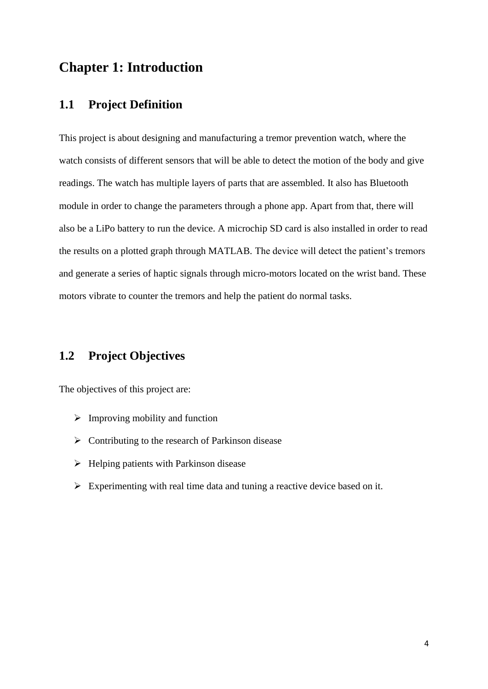### **Chapter 1: Introduction**

### **1.1 Project Definition**

This project is about designing and manufacturing a tremor prevention watch, where the watch consists of different sensors that will be able to detect the motion of the body and give readings. The watch has multiple layers of parts that are assembled. It also has Bluetooth module in order to change the parameters through a phone app. Apart from that, there will also be a LiPo battery to run the device. A microchip SD card is also installed in order to read the results on a plotted graph through MATLAB. The device will detect the patient's tremors and generate a series of haptic signals through micro-motors located on the wrist band. These motors vibrate to counter the tremors and help the patient do normal tasks.

### **1.2 Project Objectives**

The objectives of this project are:

- $\triangleright$  Improving mobility and function
- $\triangleright$  Contributing to the research of Parkinson disease
- $\triangleright$  Helping patients with Parkinson disease
- $\triangleright$  Experimenting with real time data and tuning a reactive device based on it.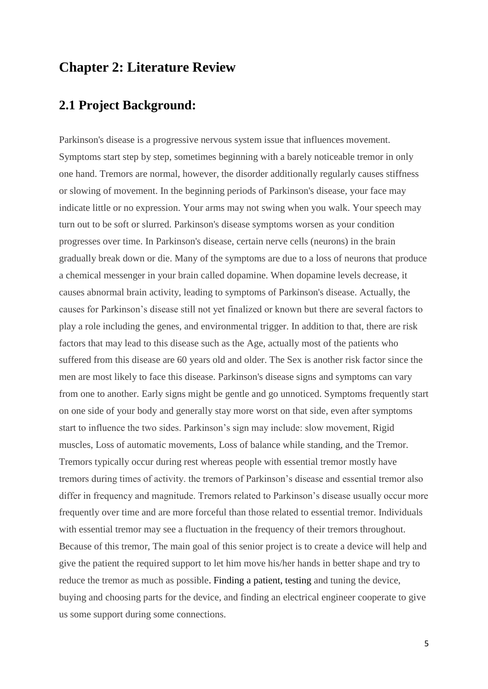### **Chapter 2: Literature Review**

# **2.1 Project Background:**

Parkinson's disease is a progressive nervous system issue that influences movement. Symptoms start step by step, sometimes beginning with a barely noticeable tremor in only one hand. Tremors are normal, however, the disorder additionally regularly causes stiffness or slowing of movement. In the beginning periods of Parkinson's disease, your face may indicate little or no expression. Your arms may not swing when you walk. Your speech may turn out to be soft or slurred. Parkinson's disease symptoms worsen as your condition progresses over time. In Parkinson's disease, certain nerve cells (neurons) in the brain gradually break down or die. Many of the symptoms are due to a loss of neurons that produce a chemical messenger in your brain called dopamine. When dopamine levels decrease, it causes abnormal brain activity, leading to symptoms of Parkinson's disease. Actually, the causes for Parkinson's disease still not yet finalized or known but there are several factors to play a role including the genes, and environmental trigger. In addition to that, there are risk factors that may lead to this disease such as the Age, actually most of the patients who suffered from this disease are 60 years old and older. The Sex is another risk factor since the men are most likely to face this disease. Parkinson's disease signs and symptoms can vary from one to another. Early signs might be gentle and go unnoticed. Symptoms frequently start on one side of your body and generally stay more worst on that side, even after symptoms start to influence the two sides. Parkinson's sign may include: slow movement, Rigid muscles, Loss of automatic movements, Loss of balance while standing, and the Tremor. Tremors typically occur during rest whereas people with essential tremor mostly have tremors during times of activity. the tremors of Parkinson's disease and essential tremor also differ in frequency and magnitude. Tremors related to Parkinson's disease usually occur more frequently over time and are more forceful than those related to essential tremor. Individuals with essential tremor may see a fluctuation in the frequency of their tremors throughout. Because of this tremor, The main goal of this senior project is to create a device will help and give the patient the required support to let him move his/her hands in better shape and try to reduce the tremor as much as possible. Finding a patient, testing and tuning the device, buying and choosing parts for the device, and finding an electrical engineer cooperate to give us some support during some connections.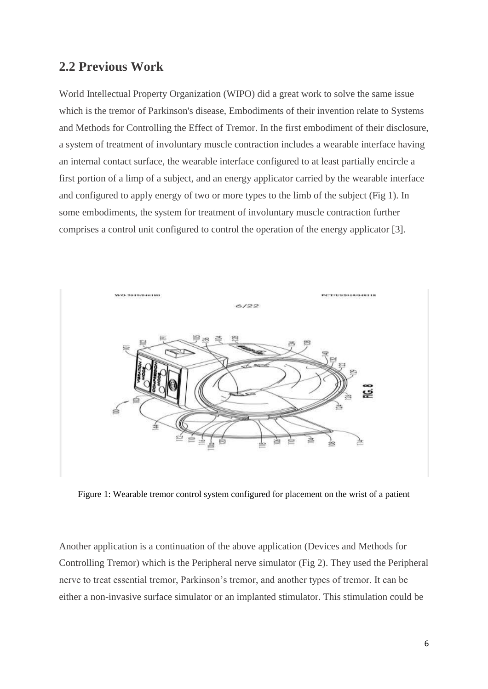### **2.2 Previous Work**

World Intellectual Property Organization (WIPO) did a great work to solve the same issue which is the tremor of Parkinson's disease, Embodiments of their invention relate to Systems and Methods for Controlling the Effect of Tremor. In the first embodiment of their disclosure, a system of treatment of involuntary muscle contraction includes a wearable interface having an internal contact surface, the wearable interface configured to at least partially encircle a first portion of a limp of a subject, and an energy applicator carried by the wearable interface and configured to apply energy of two or more types to the limb of the subject (Fig 1). In some embodiments, the system for treatment of involuntary muscle contraction further comprises a control unit configured to control the operation of the energy applicator [3].



Figure 1: Wearable tremor control system configured for placement on the wrist of a patient

Another application is a continuation of the above application (Devices and Methods for Controlling Tremor) which is the Peripheral nerve simulator (Fig 2). They used the Peripheral nerve to treat essential tremor, Parkinson's tremor, and another types of tremor. It can be either a non-invasive surface simulator or an implanted stimulator. This stimulation could be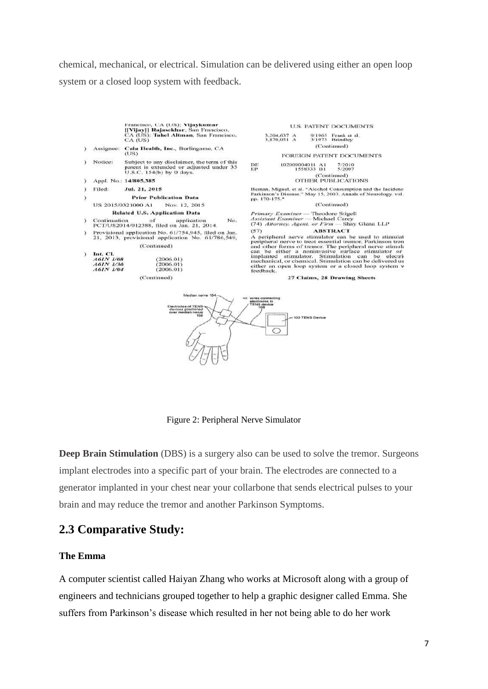chemical, mechanical, or electrical. Simulation can be delivered using either an open loop system or a closed loop system with feedback.



Figure 2: Peripheral Nerve Simulator

**Deep Brain Stimulation** (DBS) is a surgery also can be used to solve the tremor. Surgeons implant electrodes into a specific part of your brain. The electrodes are connected to a generator implanted in your chest near your collarbone that sends electrical pulses to your brain and may reduce the tremor and another Parkinson Symptoms.

### **2.3 Comparative Study:**

#### **The Emma**

A computer scientist called Haiyan Zhang who works at Microsoft along with a group of engineers and technicians grouped together to help a graphic designer called Emma. She suffers from Parkinson's disease which resulted in her not being able to do her work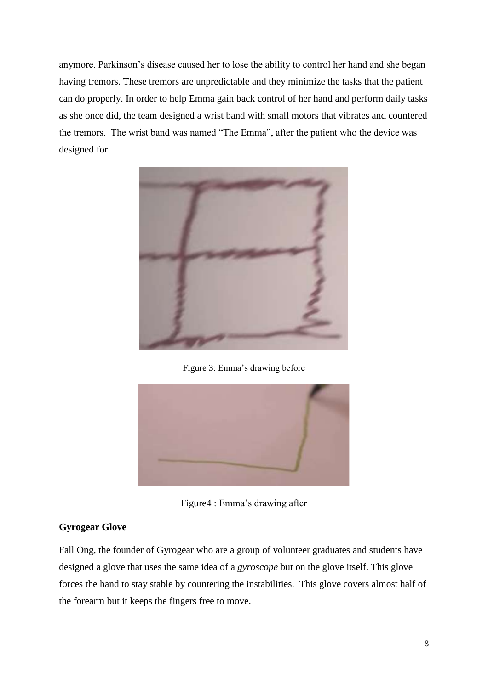anymore. Parkinson's disease caused her to lose the ability to control her hand and she began having tremors. These tremors are unpredictable and they minimize the tasks that the patient can do properly. In order to help Emma gain back control of her hand and perform daily tasks as she once did, the team designed a wrist band with small motors that vibrates and countered the tremors. The wrist band was named "The Emma", after the patient who the device was designed for.



Figure 3: Emma's drawing before



Figure4 : Emma's drawing after

### **Gyrogear Glove**

Fall Ong, the founder of Gyrogear who are a group of volunteer graduates and students have designed a glove that uses the same idea of a *gyroscope* but on the glove itself. This glove forces the hand to stay stable by countering the instabilities. This glove covers almost half of the forearm but it keeps the fingers free to move.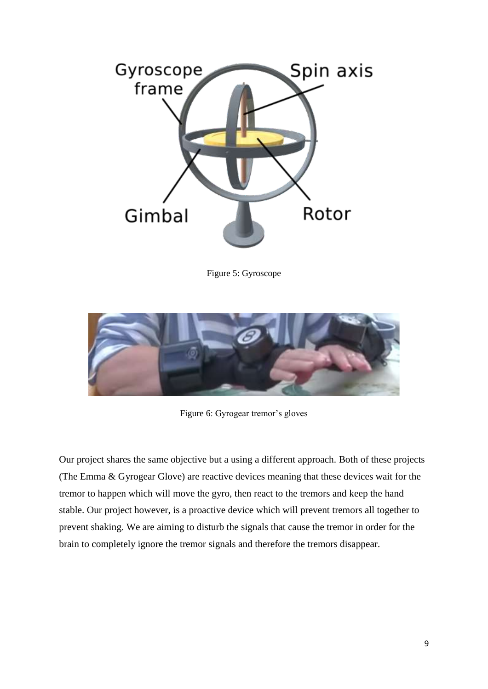

Figure 5: Gyroscope



Figure 6: Gyrogear tremor's gloves

Our project shares the same objective but a using a different approach. Both of these projects (The Emma & Gyrogear Glove) are reactive devices meaning that these devices wait for the tremor to happen which will move the gyro, then react to the tremors and keep the hand stable. Our project however, is a proactive device which will prevent tremors all together to prevent shaking. We are aiming to disturb the signals that cause the tremor in order for the brain to completely ignore the tremor signals and therefore the tremors disappear.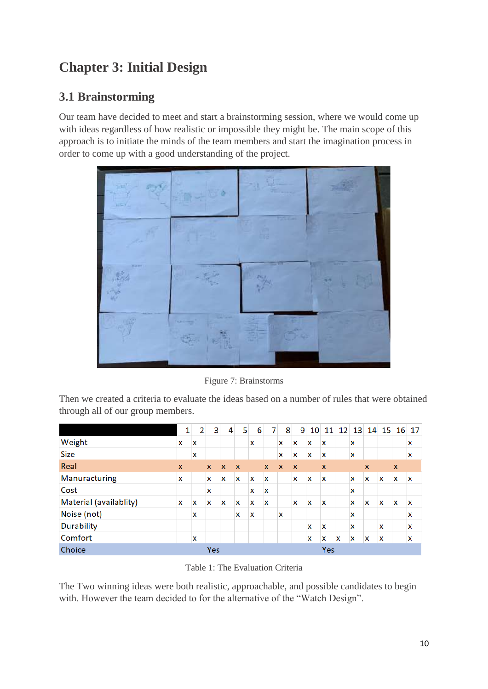# **Chapter 3: Initial Design**

# **3.1 Brainstorming**

Our team have decided to meet and start a brainstorming session, where we would come up with ideas regardless of how realistic or impossible they might be. The main scope of this approach is to initiate the minds of the team members and start the imagination process in order to come up with a good understanding of the project.



Figure 7: Brainstorms

Then we created a criteria to evaluate the ideas based on a number of rules that were obtained through all of our group members.

|                        | 1            | 2 | 3            | 4            | 5            | 6 |                           | 8            | 9                         | 10 | 11                        | 12 <sup>1</sup> | 13 |   |             | 14 15 16     | 17          |
|------------------------|--------------|---|--------------|--------------|--------------|---|---------------------------|--------------|---------------------------|----|---------------------------|-----------------|----|---|-------------|--------------|-------------|
| Weight                 | x            | X |              |              |              | x |                           | X            | $\mathbf x$               | x  | $\mathbf x$               |                 | x  |   |             |              | X           |
| <b>Size</b>            |              | X |              |              |              |   |                           | x            | $\boldsymbol{\mathsf{x}}$ | X  | X                         |                 | x  |   |             |              | X           |
| Real                   | $\mathbf{x}$ |   | $\mathsf{x}$ | $\mathbf{x}$ | $\mathbf{x}$ |   | $\mathsf{x}$              | $\mathbf{x}$ | $\mathbf{x}$              |    | $\boldsymbol{\mathsf{x}}$ |                 |    | X |             | $\mathbf{x}$ |             |
| Manuracturing          | x            |   | x            | x            | x            | x | $\boldsymbol{\mathsf{x}}$ |              | $\mathbf x$               | X  | X                         |                 | x  | x | $\mathbf x$ | $\mathbf x$  | $\mathbf x$ |
| Cost                   |              |   | x            |              |              | x | $\boldsymbol{\mathsf{x}}$ |              |                           |    |                           |                 | x  |   |             |              |             |
| Material (availablity) | X            | x | X            | x            | x            | x | $\mathbf x$               |              | $\mathbf x$               | X  | X                         |                 | x  | x | X           | X            | $\mathbf x$ |
| Noise (not)            |              | X |              |              | X            | X |                           | X            |                           |    |                           |                 | X  |   |             |              | X           |
| <b>Durability</b>      |              |   |              |              |              |   |                           |              |                           | X  | X                         |                 | X  |   | X           |              | X           |
| Comfort                |              | X |              |              |              |   |                           |              |                           | x  | x                         | X               | x  | x | X           |              | X           |
| Choice                 |              |   | Yes          |              |              |   |                           |              |                           |    | Yes                       |                 |    |   |             |              |             |

Table 1: The Evaluation Criteria

The Two winning ideas were both realistic, approachable, and possible candidates to begin with. However the team decided to for the alternative of the "Watch Design".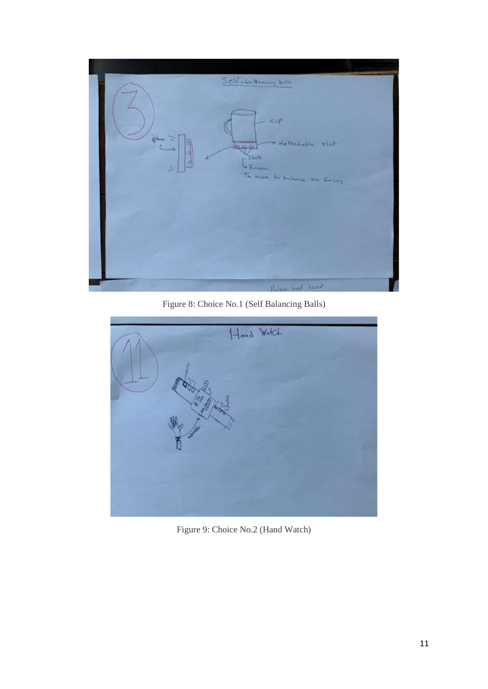

Figure 8: Choice No.1 (Self Balancing Balls)



Figure 9: Choice No.2 (Hand Watch)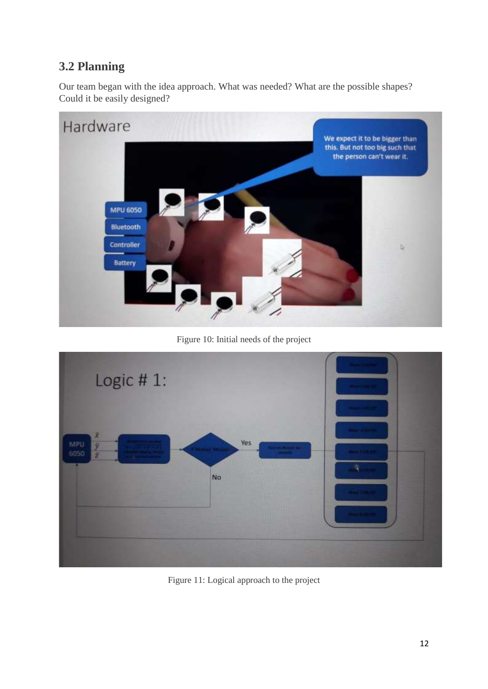# **3.2 Planning**

Our team began with the idea approach. What was needed? What are the possible shapes? Could it be easily designed?



Figure 10: Initial needs of the project



Figure 11: Logical approach to the project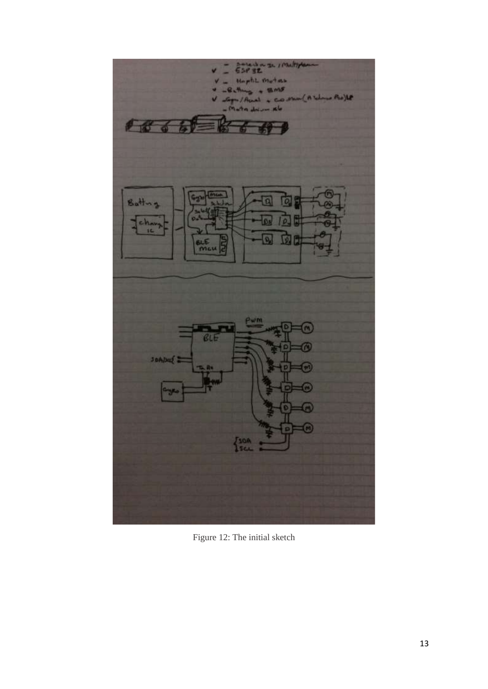

Figure 12: The initial sketch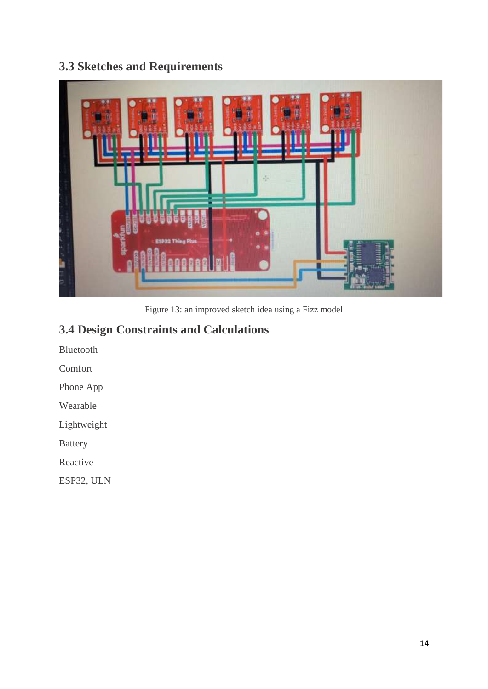# **3.3 Sketches and Requirements**



Figure 13: an improved sketch idea using a Fizz model

# **3.4 Design Constraints and Calculations**

Bluetooth

Comfort

Phone App

Wearable

Lightweight

Battery

Reactive

ESP32, ULN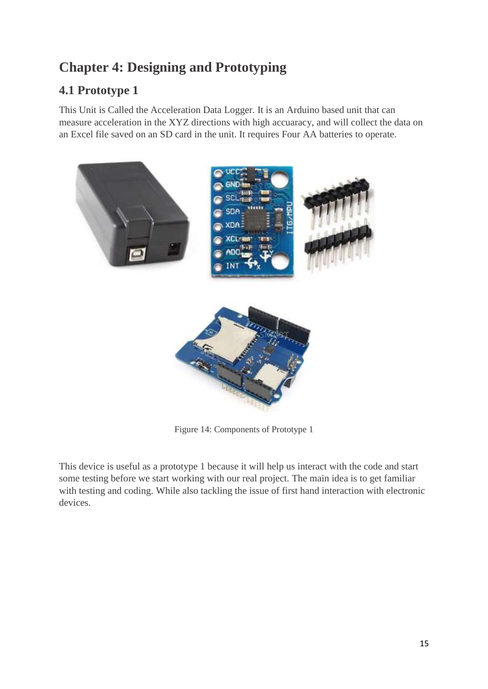# **Chapter 4: Designing and Prototyping**

# **4.1 Prototype 1**

This Unit is Called the Acceleration Data Logger. It is an Arduino based unit that can measure acceleration in the XYZ directions with high accuaracy, and will collect the data on an Excel file saved on an SD card in the unit. It requires Four AA batteries to operate.



Figure 14: Components of Prototype 1

This device is useful as a prototype 1 because it will help us interact with the code and start some testing before we start working with our real project. The main idea is to get familiar with testing and coding. While also tackling the issue of first hand interaction with electronic devices.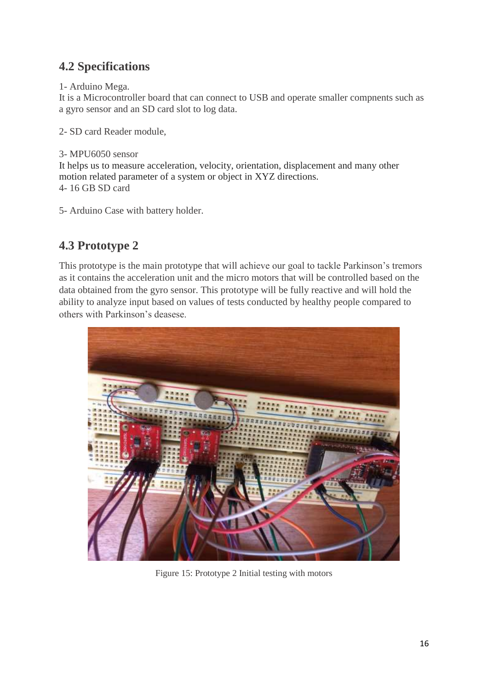# **4.2 Specifications**

1- Arduino Mega.

It is a Microcontroller board that can connect to USB and operate smaller compnents such as a gyro sensor and an SD card slot to log data.

2- SD card Reader module,

3- MPU6050 sensor

It helps us to measure acceleration, velocity, orientation, displacement and many other motion related parameter of a system or object in XYZ directions. 4- 16 GB SD card

5- Arduino Case with battery holder.

# **4.3 Prototype 2**

This prototype is the main prototype that will achieve our goal to tackle Parkinson's tremors as it contains the acceleration unit and the micro motors that will be controlled based on the data obtained from the gyro sensor. This prototype will be fully reactive and will hold the ability to analyze input based on values of tests conducted by healthy people compared to others with Parkinson's deasese.



Figure 15: Prototype 2 Initial testing with motors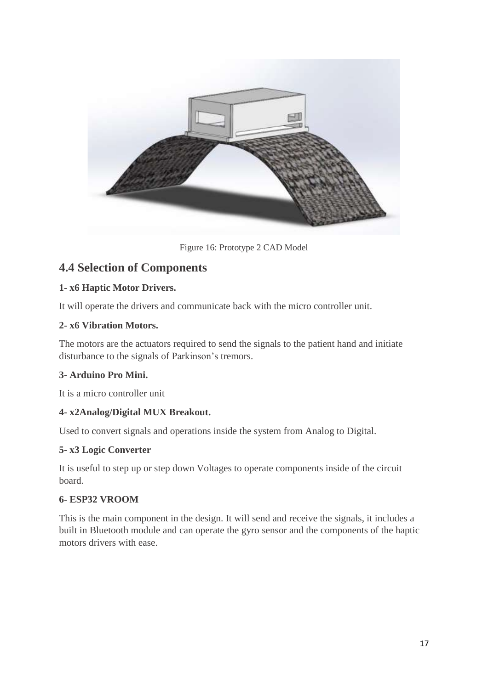

Figure 16: Prototype 2 CAD Model

### **4.4 Selection of Components**

#### **1- x6 Haptic Motor Drivers.**

It will operate the drivers and communicate back with the micro controller unit.

#### **2- x6 Vibration Motors.**

The motors are the actuators required to send the signals to the patient hand and initiate disturbance to the signals of Parkinson's tremors.

#### **3- Arduino Pro Mini.**

It is a micro controller unit

#### **4- x2Analog/Digital MUX Breakout.**

Used to convert signals and operations inside the system from Analog to Digital.

#### **5- x3 Logic Converter**

It is useful to step up or step down Voltages to operate components inside of the circuit board.

#### **6- ESP32 VROOM**

This is the main component in the design. It will send and receive the signals, it includes a built in Bluetooth module and can operate the gyro sensor and the components of the haptic motors drivers with ease.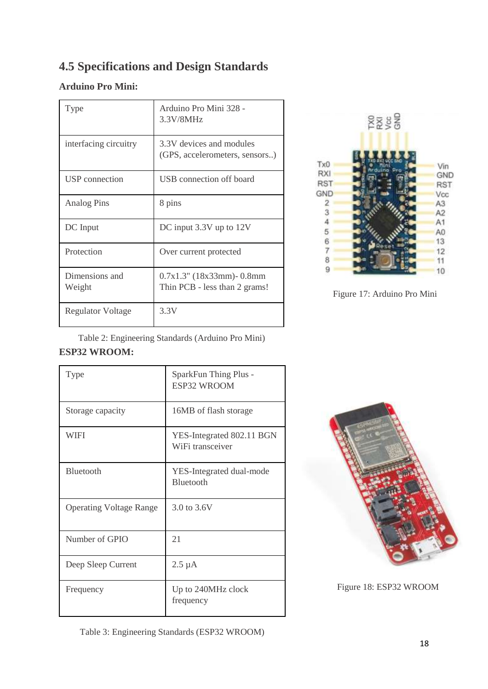# **4.5 Specifications and Design Standards**

### **Arduino Pro Mini:**

| Type                     | Arduino Pro Mini 328 -<br>3.3V/8MHz                            |
|--------------------------|----------------------------------------------------------------|
| interfacing circuitry    | 3.3V devices and modules<br>(GPS, accelerometers, sensors)     |
| USP connection           | USB connection off board                                       |
| Analog Pins              | 8 pins                                                         |
| DC Input                 | DC input 3.3V up to 12V                                        |
| Protection               | Over current protected                                         |
| Dimensions and<br>Weight | $0.7x1.3$ " (18x33mm) - 0.8mm<br>Thin PCB - less than 2 grams! |
| <b>Regulator Voltage</b> | 3.3V                                                           |



Figure 17: Arduino Pro Mini

Table 2: Engineering Standards (Arduino Pro Mini)

### **ESP32 WROOM:**

| <b>Type</b>                    | SparkFun Thing Plus -<br><b>ESP32 WROOM</b>   |
|--------------------------------|-----------------------------------------------|
| Storage capacity               | 16MB of flash storage                         |
| WIFI                           | YES-Integrated 802.11 BGN<br>WiFi transceiver |
| <b>Bluetooth</b>               | YES-Integrated dual-mode<br>Bluetooth         |
| <b>Operating Voltage Range</b> | 3.0 to 3.6V                                   |
| Number of GPIO                 | 21                                            |
| Deep Sleep Current             | $2.5 \mu A$                                   |
| Frequency                      | Up to 240MHz clock<br>frequency               |



Figure 18: ESP32 WROOM

Table 3: Engineering Standards (ESP32 WROOM)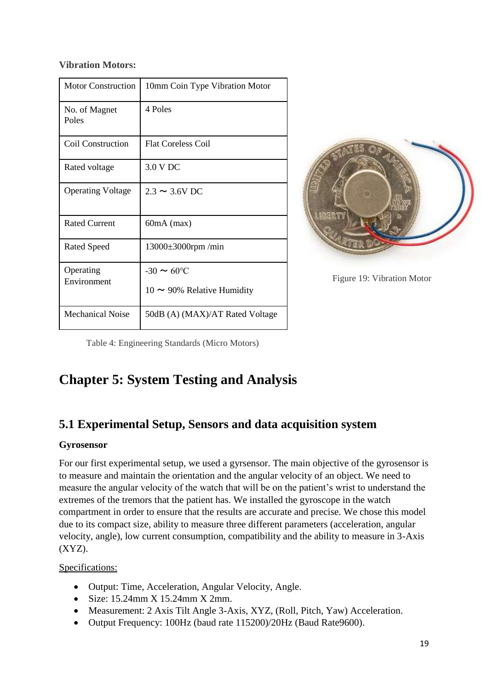#### **Vibration Motors:**

| <b>Motor Construction</b> | 10mm Coin Type Vibration Motor                             |
|---------------------------|------------------------------------------------------------|
| No. of Magnet<br>Poles    | 4 Poles                                                    |
| Coil Construction         | <b>Flat Coreless Coil</b>                                  |
| Rated voltage             | 3.0 V DC                                                   |
| <b>Operating Voltage</b>  | $2.3 \sim 3.6 V$ DC                                        |
| <b>Rated Current</b>      | $60mA$ (max)                                               |
| <b>Rated Speed</b>        | $13000\pm3000$ rpm/min                                     |
| Operating<br>Environment  | $-30 \sim 60^{\circ}C$<br>$10 \sim 90\%$ Relative Humidity |
| Mechanical Noise          | 50dB (A) (MAX)/AT Rated Voltage                            |



Figure 19: Vibration Motor

Table 4: Engineering Standards (Micro Motors)

# **Chapter 5: System Testing and Analysis**

# **5.1 Experimental Setup, Sensors and data acquisition system**

#### **Gyrosensor**

For our first experimental setup, we used a gyrsensor. The main objective of the gyrosensor is to measure and maintain the orientation and the angular velocity of an object. We need to measure the angular velocity of the watch that will be on the patient's wrist to understand the extremes of the tremors that the patient has. We installed the gyroscope in the watch compartment in order to ensure that the results are accurate and precise. We chose this model due to its compact size, ability to measure three different parameters (acceleration, angular velocity, angle), low current consumption, compatibility and the ability to measure in 3-Axis  $(XYZ)$ .

Specifications:

- Output: Time, Acceleration, Angular Velocity, Angle.
- Size: 15.24mm X 15.24mm X 2mm.
- Measurement: 2 Axis Tilt Angle 3-Axis, XYZ, (Roll, Pitch, Yaw) Acceleration.
- Output Frequency: 100Hz (baud rate 115200)/20Hz (Baud Rate9600).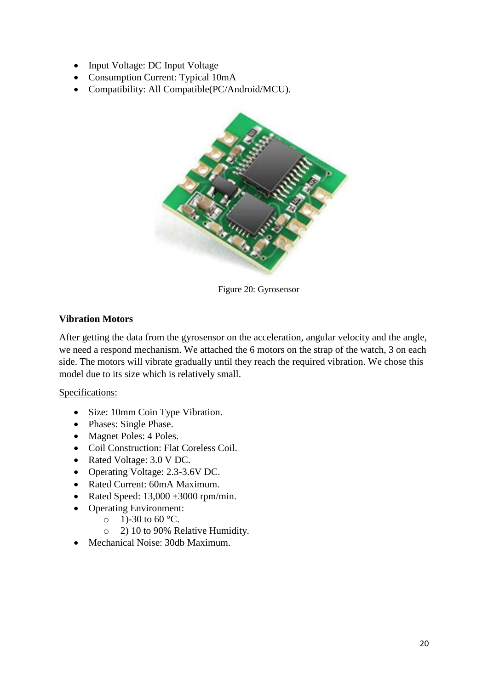- Input Voltage: DC Input Voltage
- Consumption Current: Typical 10mA
- Compatibility: All Compatible(PC/Android/MCU).



Figure 20: Gyrosensor

#### **Vibration Motors**

After getting the data from the gyrosensor on the acceleration, angular velocity and the angle, we need a respond mechanism. We attached the 6 motors on the strap of the watch, 3 on each side. The motors will vibrate gradually until they reach the required vibration. We chose this model due to its size which is relatively small.

#### Specifications:

- Size: 10mm Coin Type Vibration.
- Phases: Single Phase.
- Magnet Poles: 4 Poles.
- Coil Construction: Flat Coreless Coil.
- Rated Voltage: 3.0 V DC.
- Operating Voltage: 2.3-3.6V DC.
- Rated Current: 60mA Maximum.
- Rated Speed:  $13,000 \pm 3000$  rpm/min.
- Operating Environment:
	- $\circ$  1)-30 to 60 °C.
	- o 2) 10 to 90% Relative Humidity.
- Mechanical Noise: 30db Maximum.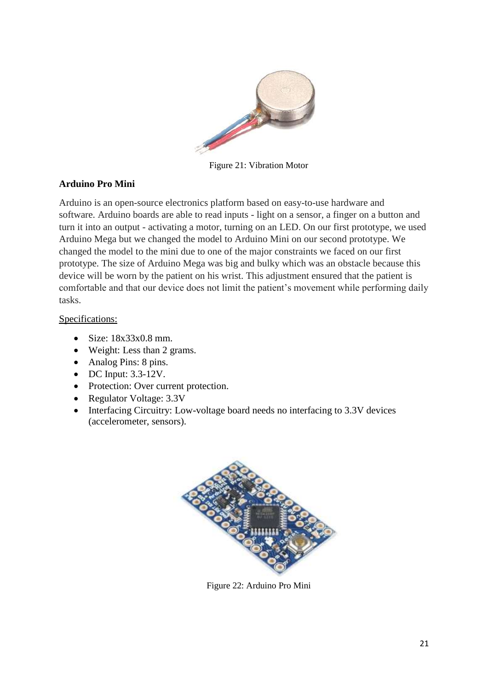

Figure 21: Vibration Motor

#### **Arduino Pro Mini**

Arduino is an open-source electronics platform based on easy-to-use hardware and software. Arduino boards are able to read inputs - light on a sensor, a finger on a button and turn it into an output - activating a motor, turning on an LED. On our first prototype, we used Arduino Mega but we changed the model to Arduino Mini on our second prototype. We changed the model to the mini due to one of the major constraints we faced on our first prototype. The size of Arduino Mega was big and bulky which was an obstacle because this device will be worn by the patient on his wrist. This adjustment ensured that the patient is comfortable and that our device does not limit the patient's movement while performing daily tasks.

#### Specifications:

- $\bullet$  Size: 18x33x0.8 mm.
- Weight: Less than 2 grams.
- Analog Pins: 8 pins.
- DC Input: 3.3-12V.
- Protection: Over current protection.
- Regulator Voltage: 3.3V
- Interfacing Circuitry: Low-voltage board needs no interfacing to 3.3V devices (accelerometer, sensors).



Figure 22: Arduino Pro Mini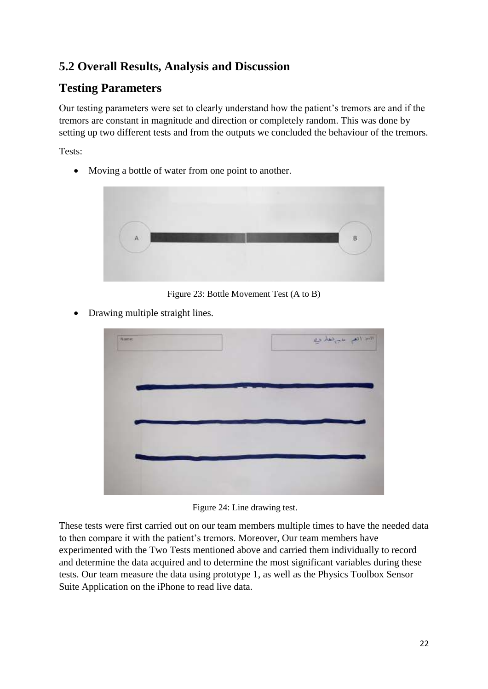# **5.2 Overall Results, Analysis and Discussion**

# **Testing Parameters**

Our testing parameters were set to clearly understand how the patient's tremors are and if the tremors are constant in magnitude and direction or completely random. This was done by setting up two different tests and from the outputs we concluded the behaviour of the tremors.

Tests:

• Moving a bottle of water from one point to another.



Figure 23: Bottle Movement Test (A to B)

• Drawing multiple straight lines.



Figure 24: Line drawing test.

These tests were first carried out on our team members multiple times to have the needed data to then compare it with the patient's tremors. Moreover, Our team members have experimented with the Two Tests mentioned above and carried them individually to record and determine the data acquired and to determine the most significant variables during these tests. Our team measure the data using prototype 1, as well as the Physics Toolbox Sensor Suite Application on the iPhone to read live data.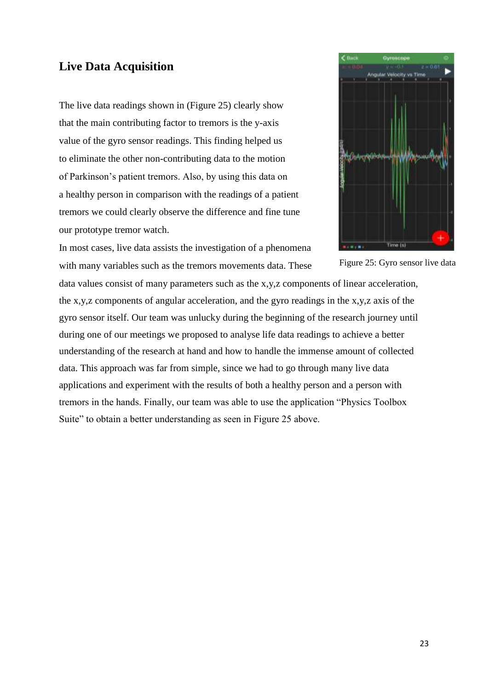# **Live Data Acquisition**

The live data readings shown in (Figure 25) clearly show that the main contributing factor to tremors is the y-axis value of the gyro sensor readings. This finding helped us to eliminate the other non-contributing data to the motion of Parkinson's patient tremors. Also, by using this data on a healthy person in comparison with the readings of a patient tremors we could clearly observe the difference and fine tune our prototype tremor watch.

In most cases, live data assists the investigation of a phenomena with many variables such as the tremors movements data. These



Figure 25: Gyro sensor live data

data values consist of many parameters such as the x,y, z components of linear acceleration, the x,y,z components of angular acceleration, and the gyro readings in the x,y,z axis of the gyro sensor itself. Our team was unlucky during the beginning of the research journey until during one of our meetings we proposed to analyse life data readings to achieve a better understanding of the research at hand and how to handle the immense amount of collected data. This approach was far from simple, since we had to go through many live data applications and experiment with the results of both a healthy person and a person with tremors in the hands. Finally, our team was able to use the application "Physics Toolbox Suite" to obtain a better understanding as seen in Figure 25 above.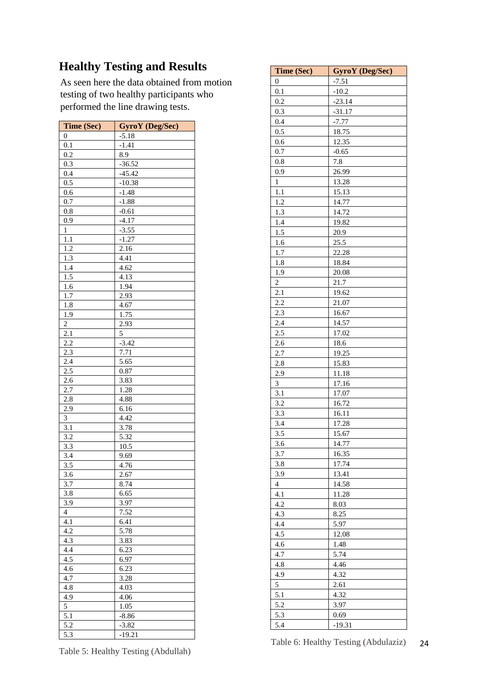# **Healthy Testing and Results**

As seen here the data obtained from motion testing of two healthy participants who performed the line drawing tests.

| <b>Time (Sec)</b> | <b>GyroY</b> (Deg/Sec) |
|-------------------|------------------------|
| 0                 | $-5.18$                |
| 0.1               | $-1.41$                |
| 0.2               | 8.9                    |
| 0.3               | $-36.52$               |
| 0.4               | $-45.42$               |
| 0.5               | $-10.38$               |
| 0.6               | $-1.48$                |
| 0.7               | $-1.88$                |
| 0.8               | $-0.61$                |
| 0.9               | $-4.17$                |
| $\mathbf{1}$      | $-3.55$                |
| 1.1               | $-1.27$                |
| 1.2               | 2.16                   |
| 1.3               | 4.41                   |
| 1.4               | 4.62                   |
| 1.5               | 4.13                   |
| 1.6               | 1.94                   |
| $\overline{1.7}$  | 2.93                   |
| 1.8               | 4.67                   |
| 1.9               | 1.75                   |
| $\overline{2}$    | 2.93                   |
| 2.1               | 5                      |
| 2.2               | $-3.42$                |
| 2.3               | 7.71                   |
| 2.4               | 5.65                   |
| 2.5               | 0.87                   |
| 2.6               | 3.83                   |
| 2.7               | 1.28                   |
| 2.8               | 4.88                   |
| 2.9               | 6.16                   |
| 3                 | 4.42                   |
| 3.1               | 3.78                   |
| 3.2               | 5.32                   |
| 3.3               | 10.5                   |
| 3.4               | 9.69                   |
| 3.5               | 4.76                   |
| 3.6               | 2.67                   |
| $\overline{3.7}$  | 8.74                   |
| 3.8               | 6.65                   |
| 3.9               | 3.97                   |
| 4                 | 7.52                   |
| 4.1               | 6.41                   |
| 4.2               | 5.78                   |
| 4.3               | 3.83                   |
| 4.4               | 6.23                   |
| 4.5               | 6.97                   |
| 4.6               | 6.23                   |
| 4.7               | 3.28                   |
| 4.8               | 4.03                   |
| 4.9               | 4.06                   |
| 5                 | 1.05                   |
| 5.1               | $-8.86$                |
| 5.2               | $-3.82$                |
| 5.3               | $-19.21$               |

| Time (Sec)       | <b>GyroY</b> (Deg/Sec) |
|------------------|------------------------|
| $\boldsymbol{0}$ | $-7.51$                |
| 0.1              | $-10.2$                |
| 0.2              | $-23.14$               |
| 0.3              | $-31.17$               |
| 0.4              | $-7.77$                |
| 0.5              | 18.75                  |
| 0.6              | 12.35                  |
| 0.7              | $-0.65$                |
| 0.8              | 7.8                    |
| 0.9              | 26.99                  |
| $\mathbf{1}$     | 13.28                  |
| 1.1              | 15.13                  |
| 1.2              | 14.77                  |
| 1.3              | 14.72                  |
| 1.4              | 19.82                  |
| 1.5              | 20.9                   |
| 1.6              | 25.5                   |
| 1.7              | 22.28                  |
| 1.8              | 18.84                  |
| 1.9              | 20.08                  |
| $\overline{c}$   | 21.7                   |
| 2.1              | 19.62                  |
| 2.2              | 21.07                  |
| 2.3              | 16.67                  |
| 2.4              | 14.57                  |
| 2.5              | 17.02                  |
| 2.6              | 18.6                   |
| 2.7              | 19.25                  |
| 2.8              | 15.83                  |
| 2.9              | 11.18                  |
| 3                | 17.16                  |
| 3.1              | 17.07                  |
| 3.2              | 16.72                  |
| 3.3              | 16.11                  |
| 3.4              | 17.28                  |
| 3.5              | 15.67                  |
| 3.6              | 14.77                  |
| 3.7              | 16.35                  |
| 3.8              | 17.74                  |
| 3.9              | 13.41                  |
| 4                | 14.58                  |
| 4.1              | 11.28                  |
| 4.2              | 8.03                   |
| 4.3              | 8.25                   |
| 4.4              | 5.97                   |
| 4.5              | 12.08                  |
| 4.6              | 1.48                   |
| 4.7              | 5.74                   |
| 4.8              | 4.46                   |
| 4.9              | 4.32                   |
| 5                | 2.61                   |
| 5.1              | 4.32                   |
| 5.2              | 3.97                   |
| 5.3              | 0.69                   |
| 5.4              | $-19.31$               |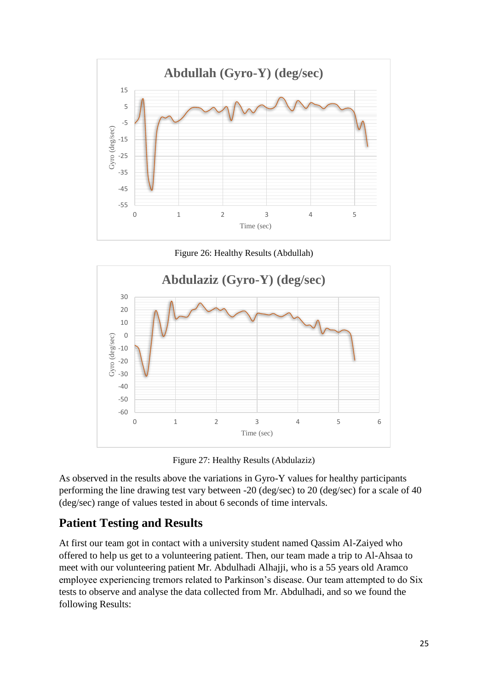

Figure 26: Healthy Results (Abdullah)



Figure 27: Healthy Results (Abdulaziz)

As observed in the results above the variations in Gyro-Y values for healthy participants performing the line drawing test vary between -20 (deg/sec) to 20 (deg/sec) for a scale of 40 (deg/sec) range of values tested in about 6 seconds of time intervals.

### **Patient Testing and Results**

At first our team got in contact with a university student named Qassim Al-Zaiyed who offered to help us get to a volunteering patient. Then, our team made a trip to Al-Ahsaa to meet with our volunteering patient Mr. Abdulhadi Alhajji, who is a 55 years old Aramco employee experiencing tremors related to Parkinson's disease. Our team attempted to do Six tests to observe and analyse the data collected from Mr. Abdulhadi, and so we found the following Results: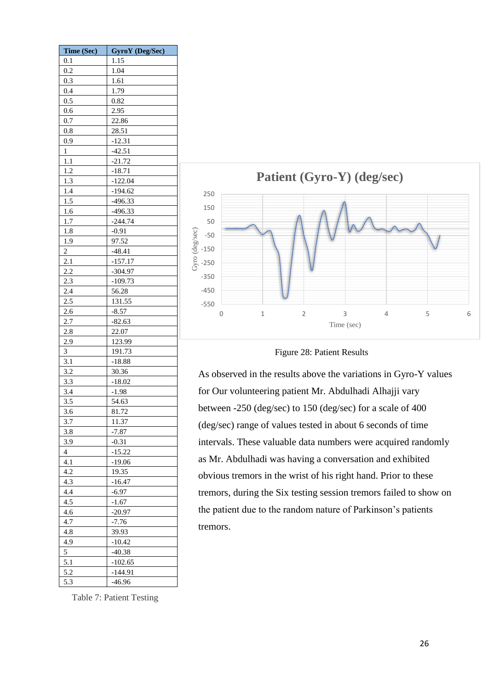| Time (Sec)     | <b>GyroY</b> (Deg/Sec) |
|----------------|------------------------|
| 0.1            | 1.15                   |
| 0.2            | 1.04                   |
| 0.3            | 1.61                   |
| 0.4            | 1.79                   |
| 0.5            | 0.82                   |
| 0.6            | 2.95                   |
| 0.7            | 22.86                  |
| 0.8            | 28.51                  |
| 0.9            | $-12.31$               |
| 1              | $-42.51$               |
| 1.1            | $-21.72$               |
| 1.2            |                        |
|                | $-18.71$               |
| 1.3            | $-122.04$              |
| 1.4            | $-194.62$              |
| 1.5            | $-496.33$              |
| 1.6            | $-496.33$              |
| 1.7            | $-244.74$              |
| 1.8            | $-0.91$                |
| 1.9            | 97.52                  |
| $\overline{c}$ | $-48.41$               |
| 2.1            | $-157.17$              |
| 2.2            | $-304.97$              |
| 2.3            | $-109.73$              |
| 2.4            | 56.28                  |
| 2.5            | 131.55                 |
| 2.6            | $-8.57$                |
| 2.7            | $-82.63$               |
| 2.8            | 22.07                  |
| 2.9            | 123.99                 |
| 3              | 191.73                 |
| 3.1            | $-18.88$               |
| 3.2            | 30.36                  |
| 3.3            | $-18.02$               |
| 3.4            | $-1.98$                |
| 3.5            | 54.63                  |
| 3.6            | 81.72                  |
| 3.7            | 11.37                  |
| 3.8            | $-7.87$                |
| 3.9            | $-0.31$                |
| 4              | $-15.22$               |
| 4.1            | $-19.06$               |
| 4.2            | 19.35                  |
|                |                        |
| 4.3            | $-16.47$               |
| 4.4            | $-6.97$                |
| 4.5            | $-1.67$                |
| 4.6            | $-20.97$               |
| 4.7            | $-7.76$                |
| 4.8            | 39.93                  |
| 4.9            | $-10.42$               |
| 5              | $-40.38$               |
| 5.1            | $-102.65$              |
| 5.2            | $-144.91$              |
| 5.3            | $-46.96$               |



#### Figure 28: Patient Results

As observed in the results above the variations in Gyro-Y values for Our volunteering patient Mr. Abdulhadi Alhajji vary between -250 (deg/sec) to 150 (deg/sec) for a scale of 400 (deg/sec) range of values tested in about 6 seconds of time intervals. These valuable data numbers were acquired randomly as Mr. Abdulhadi was having a conversation and exhibited obvious tremors in the wrist of his right hand. Prior to these tremors, during the Six testing session tremors failed to show on the patient due to the random nature of Parkinson's patients tremors.

Table 7: Patient Testing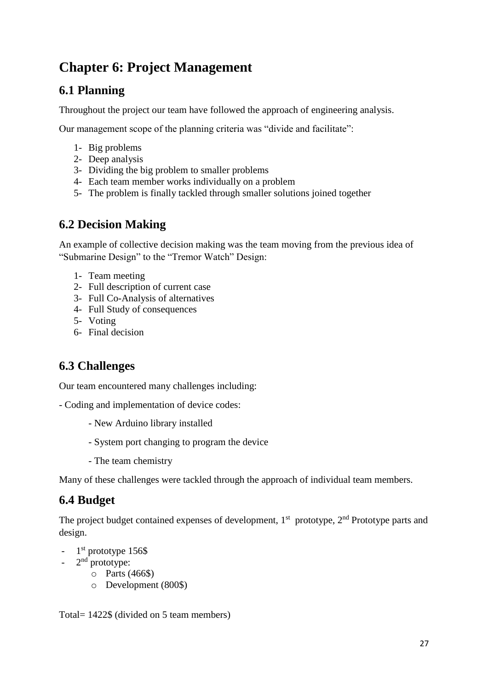# **Chapter 6: Project Management**

# **6.1 Planning**

Throughout the project our team have followed the approach of engineering analysis.

Our management scope of the planning criteria was "divide and facilitate":

- 1- Big problems
- 2- Deep analysis
- 3- Dividing the big problem to smaller problems
- 4- Each team member works individually on a problem
- 5- The problem is finally tackled through smaller solutions joined together

### **6.2 Decision Making**

An example of collective decision making was the team moving from the previous idea of "Submarine Design" to the "Tremor Watch" Design:

- 1- Team meeting
- 2- Full description of current case
- 3- Full Co-Analysis of alternatives
- 4- Full Study of consequences
- 5- Voting
- 6- Final decision

# **6.3 Challenges**

Our team encountered many challenges including:

- Coding and implementation of device codes:

- New Arduino library installed
- System port changing to program the device
- The team chemistry

Many of these challenges were tackled through the approach of individual team members.

# **6.4 Budget**

The project budget contained expenses of development,  $1<sup>st</sup>$  prototype,  $2<sup>nd</sup>$  Prototype parts and design.

- 1<sup>st</sup> prototype 156\$
- $-2^{nd}$  prototype:
	- o Parts (466\$)
	- o Development (800\$)

Total= 1422\$ (divided on 5 team members)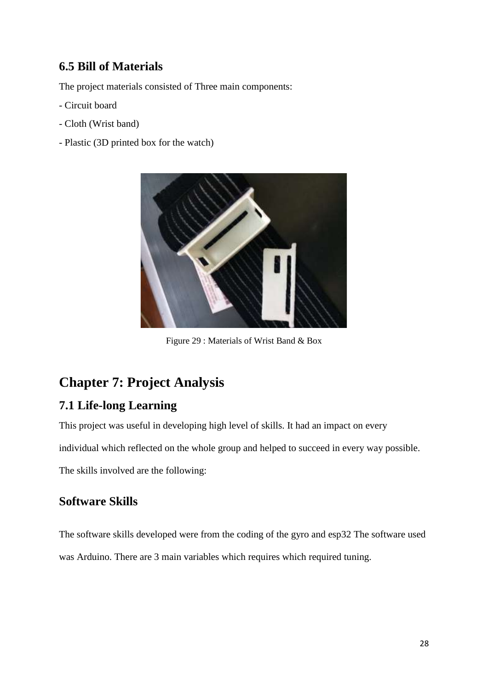# **6.5 Bill of Materials**

The project materials consisted of Three main components:

- Circuit board
- Cloth (Wrist band)
- Plastic (3D printed box for the watch)



Figure 29 : Materials of Wrist Band & Box

# **Chapter 7: Project Analysis**

# **7.1 Life-long Learning**

This project was useful in developing high level of skills. It had an impact on every

individual which reflected on the whole group and helped to succeed in every way possible.

The skills involved are the following:

### **Software Skills**

The software skills developed were from the coding of the gyro and esp32 The software used was Arduino. There are 3 main variables which requires which required tuning.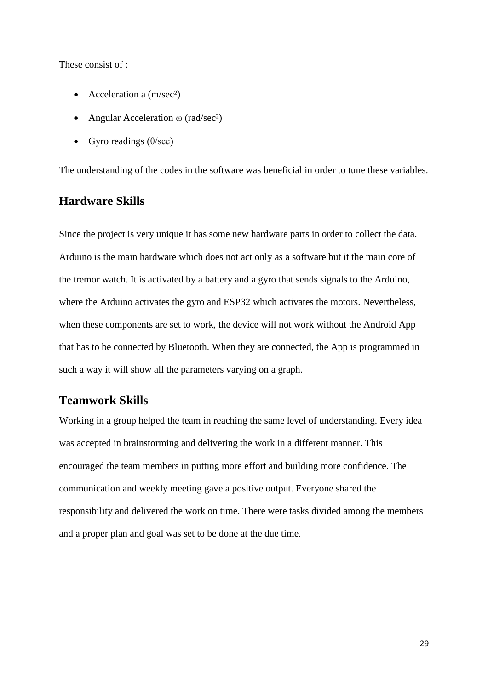These consist of :

- Acceleration a  $(m/sec<sup>2</sup>)$
- Angular Acceleration  $\omega$  (rad/sec<sup>2</sup>)
- Gyro readings  $(\theta/\text{sec})$

The understanding of the codes in the software was beneficial in order to tune these variables.

### **Hardware Skills**

Since the project is very unique it has some new hardware parts in order to collect the data. Arduino is the main hardware which does not act only as a software but it the main core of the tremor watch. It is activated by a battery and a gyro that sends signals to the Arduino, where the Arduino activates the gyro and ESP32 which activates the motors. Nevertheless, when these components are set to work, the device will not work without the Android App that has to be connected by Bluetooth. When they are connected, the App is programmed in such a way it will show all the parameters varying on a graph.

### **Teamwork Skills**

Working in a group helped the team in reaching the same level of understanding. Every idea was accepted in brainstorming and delivering the work in a different manner. This encouraged the team members in putting more effort and building more confidence. The communication and weekly meeting gave a positive output. Everyone shared the responsibility and delivered the work on time. There were tasks divided among the members and a proper plan and goal was set to be done at the due time.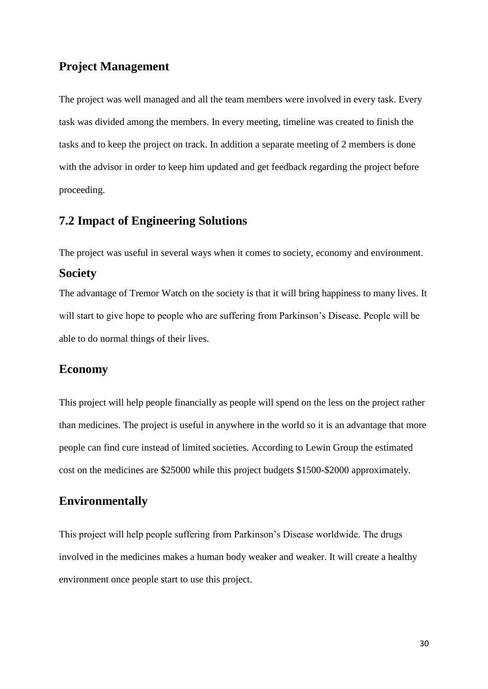### **Project Management**

The project was well managed and all the team members were involved in every task. Every task was divided among the members. In every meeting, timeline was created to finish the tasks and to keep the project on track. In addition a separate meeting of 2 members is done with the advisor in order to keep him updated and get feedback regarding the project before proceeding.

### **7.2 Impact of Engineering Solutions**

The project was useful in several ways when it comes to society, economy and environment.

#### **Society**

The advantage of Tremor Watch on the society is that it will bring happiness to many lives. It will start to give hope to people who are suffering from Parkinson's Disease. People will be able to do normal things of their lives.

### **Economy**

This project will help people financially as people will spend on the less on the project rather than medicines. The project is useful in anywhere in the world so it is an advantage that more people can find cure instead of limited societies. According to Lewin Group the estimated cost on the medicines are \$25000 while this project budgets \$1500-\$2000 approximately.

### **Environmentally**

This project will help people suffering from Parkinson's Disease worldwide. The drugs involved in the medicines makes a human body weaker and weaker. It will create a healthy environment once people start to use this project.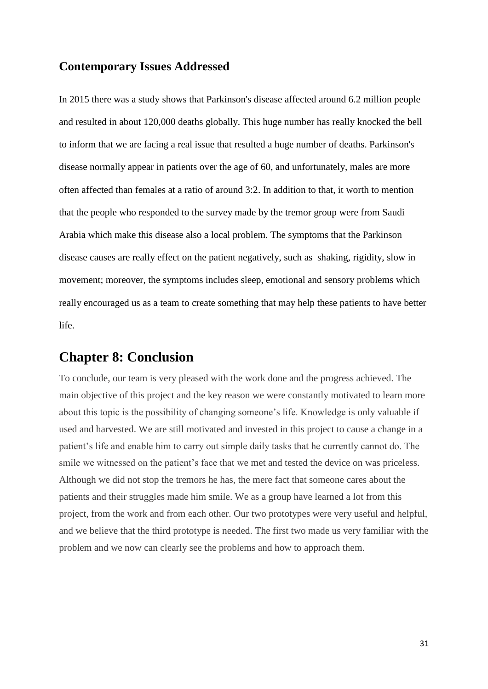### **Contemporary Issues Addressed**

In 2015 there was a study shows that Parkinson's disease affected around 6.2 million people and resulted in about 120,000 deaths globally. This huge number has really knocked the bell to inform that we are facing a real issue that resulted a huge number of deaths. Parkinson's disease normally appear in patients over the age of 60, and unfortunately, males are more often affected than females at a ratio of around 3:2. In addition to that, it worth to mention that the people who responded to the survey made by the tremor group were from Saudi Arabia which make this disease also a local problem. The symptoms that the Parkinson disease causes are really effect on the patient negatively, such as shaking, rigidity, slow in movement; moreover, the symptoms includes sleep, emotional and sensory problems which really encouraged us as a team to create something that may help these patients to have better life.

# **Chapter 8: Conclusion**

To conclude, our team is very pleased with the work done and the progress achieved. The main objective of this project and the key reason we were constantly motivated to learn more about this topic is the possibility of changing someone's life. Knowledge is only valuable if used and harvested. We are still motivated and invested in this project to cause a change in a patient's life and enable him to carry out simple daily tasks that he currently cannot do. The smile we witnessed on the patient's face that we met and tested the device on was priceless. Although we did not stop the tremors he has, the mere fact that someone cares about the patients and their struggles made him smile. We as a group have learned a lot from this project, from the work and from each other. Our two prototypes were very useful and helpful, and we believe that the third prototype is needed. The first two made us very familiar with the problem and we now can clearly see the problems and how to approach them.